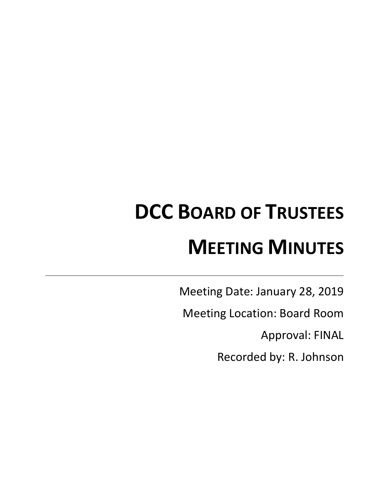# **DCC BOARD OF TRUSTEES MEETING MINUTES**

Meeting Date: January 28, 2019

Meeting Location: Board Room

Approval: FINAL

Recorded by: R. Johnson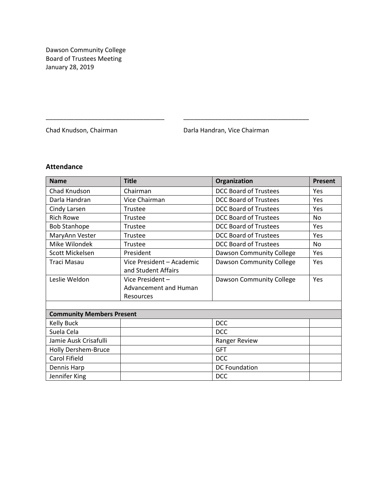Dawson Community College Board of Trustees Meeting January 28, 2019

Chad Knudson, Chairman **Darla Handran, Vice Chairman** 

# **Attendance**

| <b>Name</b>                      | <b>Title</b>              | Organization                 | <b>Present</b> |
|----------------------------------|---------------------------|------------------------------|----------------|
| Chad Knudson                     | Chairman                  | <b>DCC Board of Trustees</b> | Yes            |
| Darla Handran                    | Vice Chairman             | <b>DCC Board of Trustees</b> | Yes            |
| Cindy Larsen                     | Trustee                   | <b>DCC Board of Trustees</b> | Yes            |
| <b>Rich Rowe</b>                 | Trustee                   | <b>DCC Board of Trustees</b> | <b>No</b>      |
| <b>Bob Stanhope</b>              | Trustee                   | <b>DCC Board of Trustees</b> | Yes            |
| MaryAnn Vester                   | Trustee                   | <b>DCC Board of Trustees</b> | Yes            |
| Mike Wilondek                    | Trustee                   | <b>DCC Board of Trustees</b> | <b>No</b>      |
| Scott Mickelsen                  | President                 | Dawson Community College     | Yes            |
| Traci Masau                      | Vice President - Academic | Dawson Community College     | Yes            |
|                                  | and Student Affairs       |                              |                |
| Leslie Weldon                    | Vice President-           | Dawson Community College     | Yes            |
|                                  | Advancement and Human     |                              |                |
|                                  | <b>Resources</b>          |                              |                |
|                                  |                           |                              |                |
| <b>Community Members Present</b> |                           |                              |                |
| <b>Kelly Buck</b>                |                           | <b>DCC</b>                   |                |
| Suela Cela                       |                           | <b>DCC</b>                   |                |
| Jamie Ausk Crisafulli            |                           | Ranger Review                |                |
| Holly Dershem-Bruce              |                           | <b>GFT</b>                   |                |
| Carol Fifield                    |                           | <b>DCC</b>                   |                |
| Dennis Harp                      |                           | <b>DC Foundation</b>         |                |
| Jennifer King                    |                           | <b>DCC</b>                   |                |

\_\_\_\_\_\_\_\_\_\_\_\_\_\_\_\_\_\_\_\_\_\_\_\_\_\_\_\_\_\_\_\_\_\_ \_\_\_\_\_\_\_\_\_\_\_\_\_\_\_\_\_\_\_\_\_\_\_\_\_\_\_\_\_\_\_\_\_\_\_\_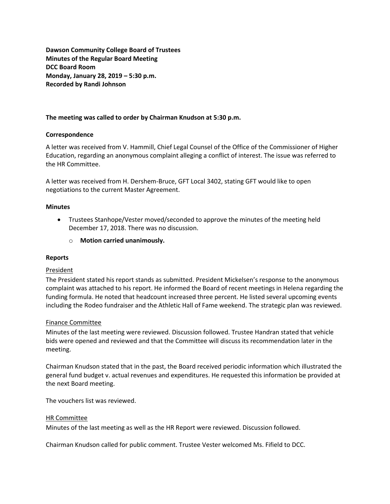**Dawson Community College Board of Trustees Minutes of the Regular Board Meeting DCC Board Room Monday, January 28, 2019 – 5:30 p.m. Recorded by Randi Johnson**

# **The meeting was called to order by Chairman Knudson at 5:30 p.m.**

# **Correspondence**

A letter was received from V. Hammill, Chief Legal Counsel of the Office of the Commissioner of Higher Education, regarding an anonymous complaint alleging a conflict of interest. The issue was referred to the HR Committee.

A letter was received from H. Dershem-Bruce, GFT Local 3402, stating GFT would like to open negotiations to the current Master Agreement.

#### **Minutes**

- Trustees Stanhope/Vester moved/seconded to approve the minutes of the meeting held December 17, 2018. There was no discussion.
	- o **Motion carried unanimously.**

#### **Reports**

# President

The President stated his report stands as submitted. President Mickelsen's response to the anonymous complaint was attached to his report. He informed the Board of recent meetings in Helena regarding the funding formula. He noted that headcount increased three percent. He listed several upcoming events including the Rodeo fundraiser and the Athletic Hall of Fame weekend. The strategic plan was reviewed.

#### Finance Committee

Minutes of the last meeting were reviewed. Discussion followed. Trustee Handran stated that vehicle bids were opened and reviewed and that the Committee will discuss its recommendation later in the meeting.

Chairman Knudson stated that in the past, the Board received periodic information which illustrated the general fund budget v. actual revenues and expenditures. He requested this information be provided at the next Board meeting.

The vouchers list was reviewed.

#### HR Committee

Minutes of the last meeting as well as the HR Report were reviewed. Discussion followed.

Chairman Knudson called for public comment. Trustee Vester welcomed Ms. Fifield to DCC.